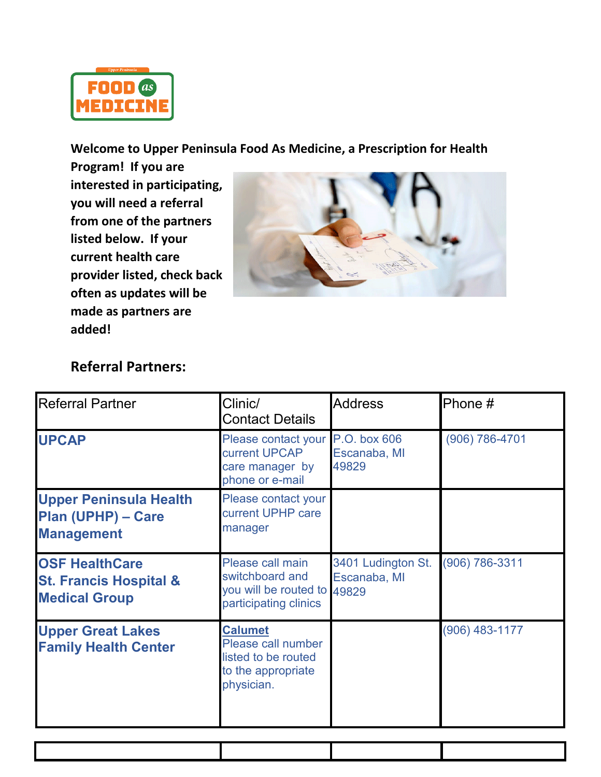

**Welcome to Upper Peninsula Food As Medicine, a Prescription for Health** 

**Program! If you are interested in participating, you will need a referral from one of the partners listed below. If your current health care provider listed, check back often as updates will be made as partners are added!**



## **Referral Partners:**

| <b>Referral Partner</b>                                                            | Clinic/<br><b>Contact Details</b>                                                               | <b>Address</b>                              | Phone #        |
|------------------------------------------------------------------------------------|-------------------------------------------------------------------------------------------------|---------------------------------------------|----------------|
| <b>UPCAP</b>                                                                       | Please contact your<br>current UPCAP<br>care manager by<br>phone or e-mail                      | P.O. box 606<br>Escanaba, MI<br>49829       | (906) 786-4701 |
| <b>Upper Peninsula Health</b><br>Plan (UPHP) - Care<br><b>Management</b>           | Please contact your<br>current UPHP care<br>manager                                             |                                             |                |
| <b>OSF HealthCare</b><br><b>St. Francis Hospital &amp;</b><br><b>Medical Group</b> | Please call main<br>switchboard and<br>you will be routed to<br>participating clinics           | 3401 Ludington St.<br>Escanaba, MI<br>49829 | (906) 786-3311 |
| <b>Upper Great Lakes</b><br><b>Family Health Center</b>                            | <b>Calumet</b><br>Please call number<br>listed to be routed<br>to the appropriate<br>physician. |                                             | (906) 483-1177 |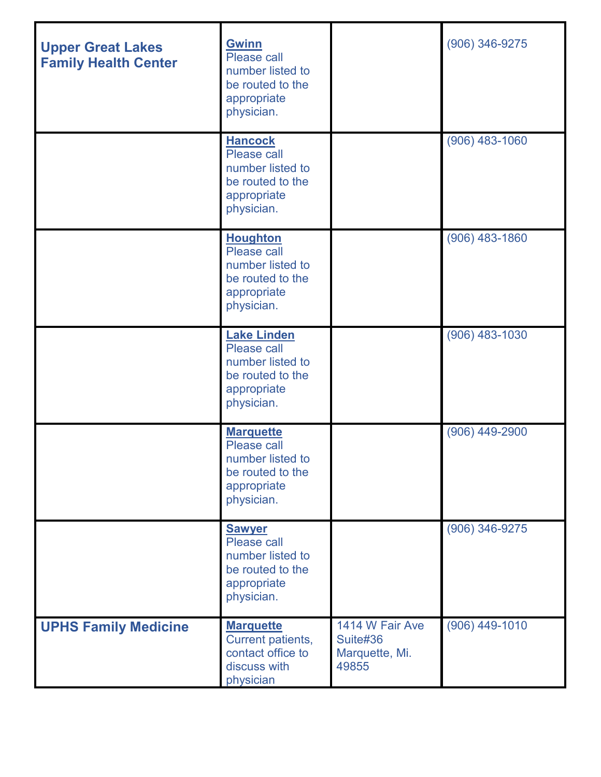| <b>Upper Great Lakes</b><br><b>Family Health Center</b> | <b>Gwinn</b><br>Please call<br>number listed to<br>be routed to the<br>appropriate<br>physician.       |                                                        | $(906)$ 346-9275 |
|---------------------------------------------------------|--------------------------------------------------------------------------------------------------------|--------------------------------------------------------|------------------|
|                                                         | <b>Hancock</b><br>Please call<br>number listed to<br>be routed to the<br>appropriate<br>physician.     |                                                        | (906) 483-1060   |
|                                                         | <b>Houghton</b><br>Please call<br>number listed to<br>be routed to the<br>appropriate<br>physician.    |                                                        | $(906)$ 483-1860 |
|                                                         | <b>Lake Linden</b><br>Please call<br>number listed to<br>be routed to the<br>appropriate<br>physician. |                                                        | $(906)$ 483-1030 |
|                                                         | <b>Marquette</b><br>Please call<br>number listed to<br>be routed to the<br>appropriate<br>physician.   |                                                        | (906) 449-2900   |
|                                                         | <b>Sawyer</b><br>Please call<br>number listed to<br>be routed to the<br>appropriate<br>physician.      |                                                        | (906) 346-9275   |
| <b>UPHS Family Medicine</b>                             | <b>Marquette</b><br>Current patients,<br>contact office to<br>discuss with<br>physician                | 1414 W Fair Ave<br>Suite#36<br>Marquette, Mi.<br>49855 | $(906)$ 449-1010 |